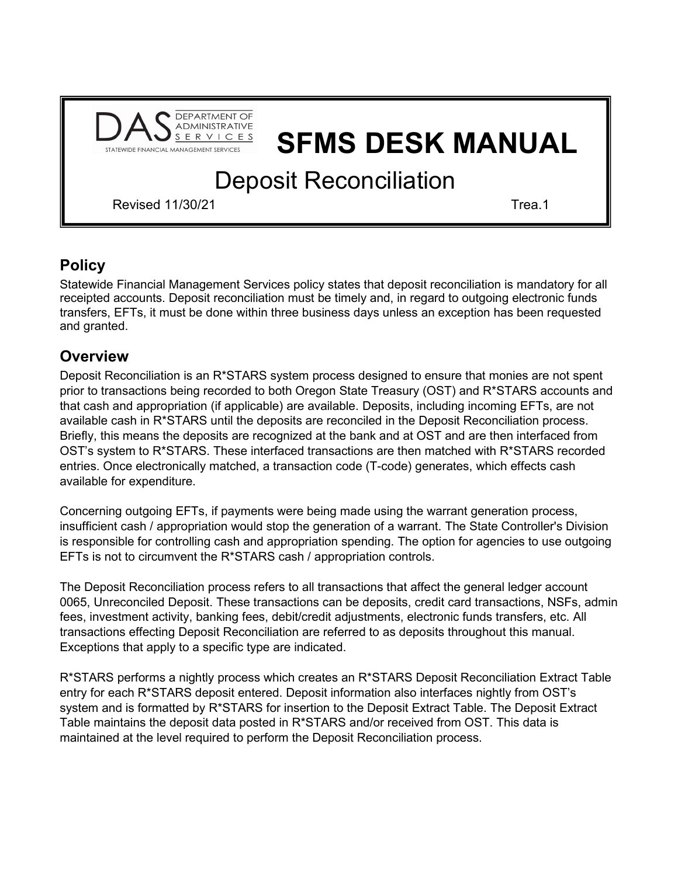

# **SFMS DESK MANUAL**

## Deposit Reconciliation

Revised 11/30/21 Trea.1

### **Policy**

Statewide Financial Management Services policy states that deposit reconciliation is mandatory for all receipted accounts. Deposit reconciliation must be timely and, in regard to outgoing electronic funds transfers, EFTs, it must be done within three business days unless an exception has been requested and granted.

#### **Overview**

Deposit Reconciliation is an R\*STARS system process designed to ensure that monies are not spent prior to transactions being recorded to both Oregon State Treasury (OST) and R\*STARS accounts and that cash and appropriation (if applicable) are available. Deposits, including incoming EFTs, are not available cash in R\*STARS until the deposits are reconciled in the Deposit Reconciliation process. Briefly, this means the deposits are recognized at the bank and at OST and are then interfaced from OST's system to R\*STARS. These interfaced transactions are then matched with R\*STARS recorded entries. Once electronically matched, a transaction code (T-code) generates, which effects cash available for expenditure.

Concerning outgoing EFTs, if payments were being made using the warrant generation process, insufficient cash / appropriation would stop the generation of a warrant. The State Controller's Division is responsible for controlling cash and appropriation spending. The option for agencies to use outgoing EFTs is not to circumvent the R\*STARS cash / appropriation controls.

The Deposit Reconciliation process refers to all transactions that affect the general ledger account 0065, Unreconciled Deposit. These transactions can be deposits, credit card transactions, NSFs, admin fees, investment activity, banking fees, debit/credit adjustments, electronic funds transfers, etc. All transactions effecting Deposit Reconciliation are referred to as deposits throughout this manual. Exceptions that apply to a specific type are indicated.

R\*STARS performs a nightly process which creates an R\*STARS Deposit Reconciliation Extract Table entry for each R\*STARS deposit entered. Deposit information also interfaces nightly from OST's system and is formatted by R\*STARS for insertion to the Deposit Extract Table. The Deposit Extract Table maintains the deposit data posted in R\*STARS and/or received from OST. This data is maintained at the level required to perform the Deposit Reconciliation process.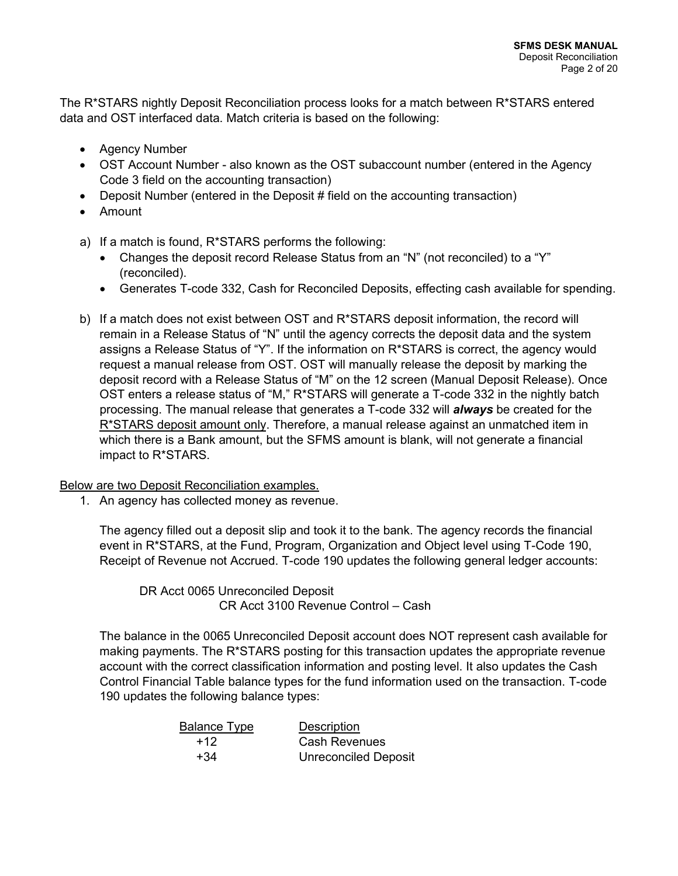The R\*STARS nightly Deposit Reconciliation process looks for a match between R\*STARS entered data and OST interfaced data. Match criteria is based on the following:

- Agency Number
- OST Account Number also known as the OST subaccount number (entered in the Agency Code 3 field on the accounting transaction)
- Deposit Number (entered in the Deposit # field on the accounting transaction)
- Amount
- a) If a match is found, R\*STARS performs the following:
	- Changes the deposit record Release Status from an "N" (not reconciled) to a "Y" (reconciled).
	- Generates T-code 332, Cash for Reconciled Deposits, effecting cash available for spending.
- b) If a match does not exist between OST and R\*STARS deposit information, the record will remain in a Release Status of "N" until the agency corrects the deposit data and the system assigns a Release Status of "Y". If the information on R\*STARS is correct, the agency would request a manual release from OST. OST will manually release the deposit by marking the deposit record with a Release Status of "M" on the 12 screen (Manual Deposit Release). Once OST enters a release status of "M," R\*STARS will generate a T-code 332 in the nightly batch processing. The manual release that generates a T-code 332 will *always* be created for the  $R^*$ STARS deposit amount only. Therefore, a manual release against an unmatched item in which there is a Bank amount, but the SFMS amount is blank, will not generate a financial impact to R\*STARS.

#### Below are two Deposit Reconciliation examples.

1. An agency has collected money as revenue.

The agency filled out a deposit slip and took it to the bank. The agency records the financial event in R\*STARS, at the Fund, Program, Organization and Object level using T-Code 190, Receipt of Revenue not Accrued. T-code 190 updates the following general ledger accounts:

DR Acct 0065 Unreconciled Deposit CR Acct 3100 Revenue Control – Cash

The balance in the 0065 Unreconciled Deposit account does NOT represent cash available for making payments. The  $R^*$ STARS posting for this transaction updates the appropriate revenue account with the correct classification information and posting level. It also updates the Cash Control Financial Table balance types for the fund information used on the transaction. T-code 190 updates the following balance types:

| <b>Balance Type</b> | <b>Description</b>          |
|---------------------|-----------------------------|
| $+12$               | <b>Cash Revenues</b>        |
| $+34$               | <b>Unreconciled Deposit</b> |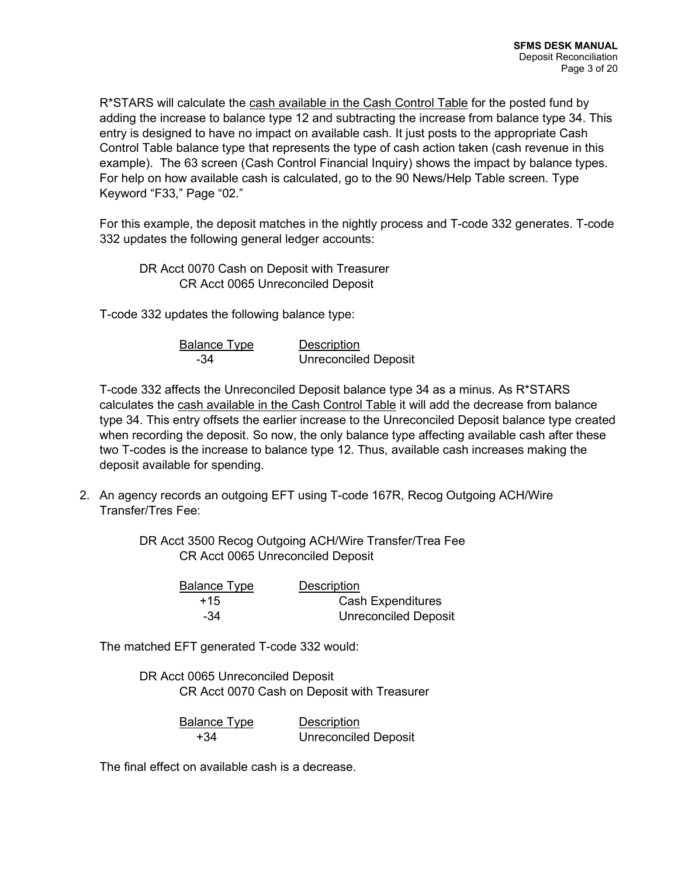R\*STARS will calculate the cash available in the Cash Control Table for the posted fund by adding the increase to balance type 12 and subtracting the increase from balance type 34. This entry is designed to have no impact on available cash. It just posts to the appropriate Cash Control Table balance type that represents the type of cash action taken (cash revenue in this example). The 63 screen (Cash Control Financial Inquiry) shows the impact by balance types. For help on how available cash is calculated, go to the 90 News/Help Table screen. Type Keyword "F33," Page "02."

For this example, the deposit matches in the nightly process and T-code 332 generates. T-code 332 updates the following general ledger accounts:

DR Acct 0070 Cash on Deposit with Treasurer CR Acct 0065 Unreconciled Deposit

T-code 332 updates the following balance type:

| <b>Balance Type</b> | <b>Description</b>          |
|---------------------|-----------------------------|
| -34                 | <b>Unreconciled Deposit</b> |

T-code 332 affects the Unreconciled Deposit balance type 34 as a minus. As R\*STARS calculates the cash available in the Cash Control Table it will add the decrease from balance type 34. This entry offsets the earlier increase to the Unreconciled Deposit balance type created when recording the deposit. So now, the only balance type affecting available cash after these two T-codes is the increase to balance type 12. Thus, available cash increases making the deposit available for spending.

2. An agency records an outgoing EFT using T-code 167R, Recog Outgoing ACH/Wire Transfer/Tres Fee:

> DR Acct 3500 Recog Outgoing ACH/Wire Transfer/Trea Fee CR Acct 0065 Unreconciled Deposit

| Balance Type | <b>Description</b>          |
|--------------|-----------------------------|
| $+15$        | <b>Cash Expenditures</b>    |
| -34          | <b>Unreconciled Deposit</b> |

The matched EFT generated T-code 332 would:

DR Acct 0065 Unreconciled Deposit CR Acct 0070 Cash on Deposit with Treasurer

| <b>Balance Type</b> | <b>Description</b>          |
|---------------------|-----------------------------|
| $+34$               | <b>Unreconciled Deposit</b> |

The final effect on available cash is a decrease.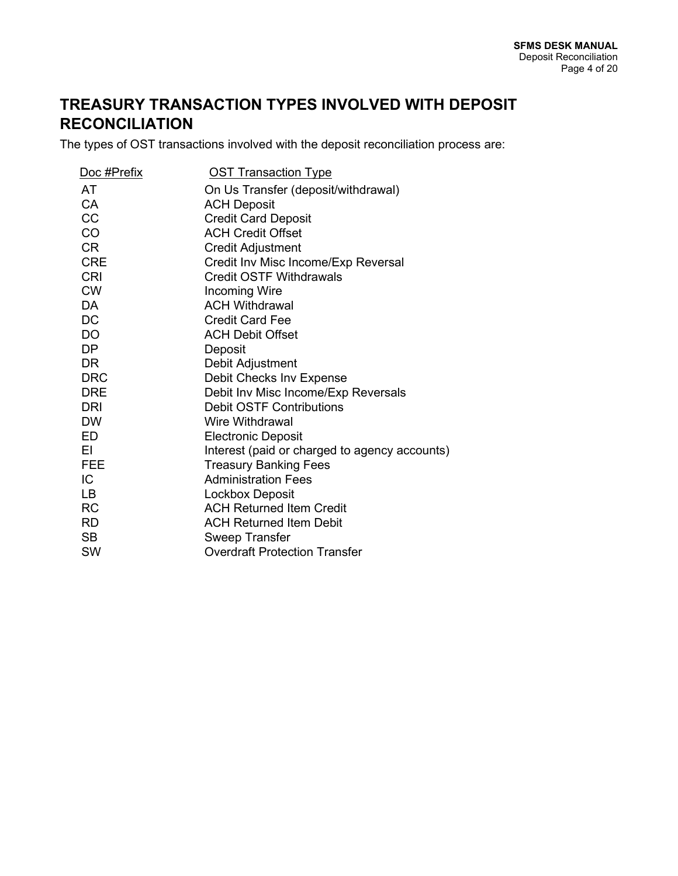### **TREASURY TRANSACTION TYPES INVOLVED WITH DEPOSIT RECONCILIATION**

The types of OST transactions involved with the deposit reconciliation process are:

| <b>OST Transaction Type</b>                   |
|-----------------------------------------------|
| On Us Transfer (deposit/withdrawal)           |
| <b>ACH Deposit</b>                            |
| <b>Credit Card Deposit</b>                    |
| <b>ACH Credit Offset</b>                      |
| <b>Credit Adjustment</b>                      |
| Credit Inv Misc Income/Exp Reversal           |
| <b>Credit OSTF Withdrawals</b>                |
| Incoming Wire                                 |
| <b>ACH Withdrawal</b>                         |
| <b>Credit Card Fee</b>                        |
| <b>ACH Debit Offset</b>                       |
| Deposit                                       |
| Debit Adjustment                              |
| Debit Checks Inv Expense                      |
| Debit Inv Misc Income/Exp Reversals           |
| <b>Debit OSTF Contributions</b>               |
| <b>Wire Withdrawal</b>                        |
| <b>Electronic Deposit</b>                     |
| Interest (paid or charged to agency accounts) |
| <b>Treasury Banking Fees</b>                  |
| <b>Administration Fees</b>                    |
| Lockbox Deposit                               |
| <b>ACH Returned Item Credit</b>               |
| <b>ACH Returned Item Debit</b>                |
| <b>Sweep Transfer</b>                         |
| <b>Overdraft Protection Transfer</b>          |
|                                               |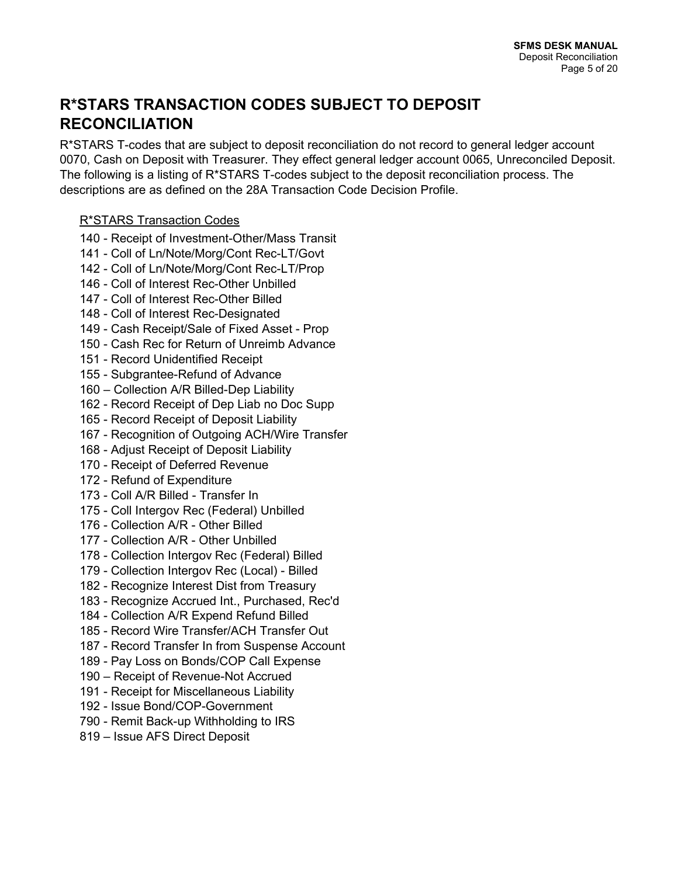### **R\*STARS TRANSACTION CODES SUBJECT TO DEPOSIT RECONCILIATION**

R\*STARS T-codes that are subject to deposit reconciliation do not record to general ledger account 0070, Cash on Deposit with Treasurer. They effect general ledger account 0065, Unreconciled Deposit. The following is a listing of R\*STARS T-codes subject to the deposit reconciliation process. The descriptions are as defined on the 28A Transaction Code Decision Profile.

#### R\*STARS Transaction Codes

- 140 Receipt of Investment-Other/Mass Transit
- 141 Coll of Ln/Note/Morg/Cont Rec-LT/Govt
- 142 Coll of Ln/Note/Morg/Cont Rec-LT/Prop
- 146 Coll of Interest Rec-Other Unbilled
- 147 Coll of Interest Rec-Other Billed
- 148 Coll of Interest Rec-Designated
- 149 Cash Receipt/Sale of Fixed Asset Prop
- 150 Cash Rec for Return of Unreimb Advance
- 151 Record Unidentified Receipt
- 155 Subgrantee-Refund of Advance
- 160 Collection A/R Billed-Dep Liability
- 162 Record Receipt of Dep Liab no Doc Supp
- 165 Record Receipt of Deposit Liability
- 167 Recognition of Outgoing ACH/Wire Transfer
- 168 Adjust Receipt of Deposit Liability
- 170 Receipt of Deferred Revenue
- 172 Refund of Expenditure
- 173 Coll A/R Billed Transfer In
- 175 Coll Intergov Rec (Federal) Unbilled
- 176 Collection A/R Other Billed
- 177 Collection A/R Other Unbilled
- 178 Collection Intergov Rec (Federal) Billed
- 179 Collection Intergov Rec (Local) Billed
- 182 Recognize Interest Dist from Treasury
- 183 Recognize Accrued Int., Purchased, Rec'd
- 184 Collection A/R Expend Refund Billed
- 185 Record Wire Transfer/ACH Transfer Out
- 187 Record Transfer In from Suspense Account
- 189 Pay Loss on Bonds/COP Call Expense
- 190 Receipt of Revenue-Not Accrued
- 191 Receipt for Miscellaneous Liability
- 192 Issue Bond/COP-Government
- 790 Remit Back-up Withholding to IRS
- 819 Issue AFS Direct Deposit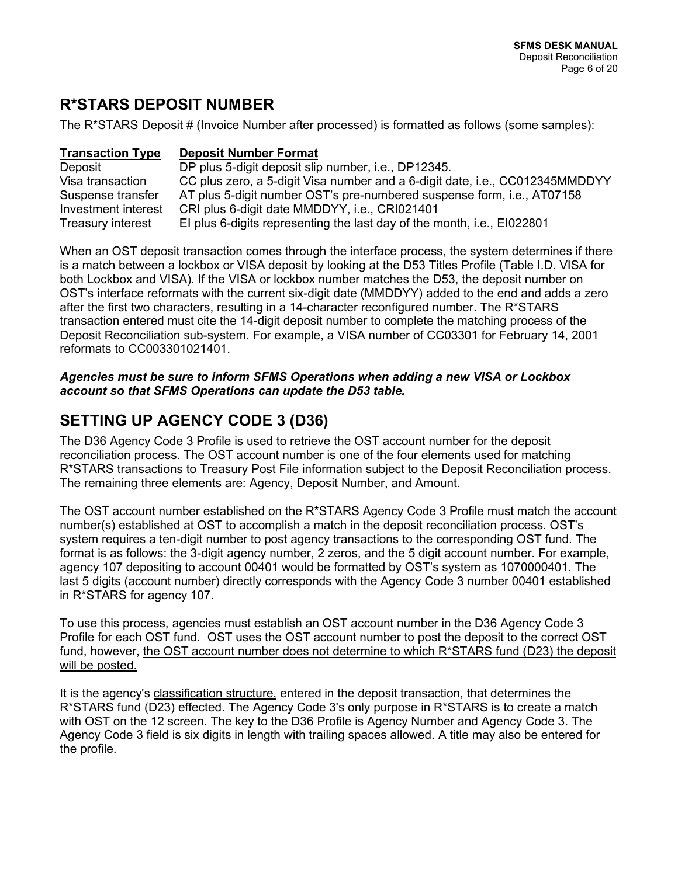### **R\*STARS DEPOSIT NUMBER**

The R\*STARS Deposit # (Invoice Number after processed) is formatted as follows (some samples):

| <b>Transaction Type</b> | <b>Deposit Number Format</b>                                                 |
|-------------------------|------------------------------------------------------------------------------|
| Deposit                 | DP plus 5-digit deposit slip number, i.e., DP12345.                          |
| Visa transaction        | CC plus zero, a 5-digit Visa number and a 6-digit date, i.e., CC012345MMDDYY |
| Suspense transfer       | AT plus 5-digit number OST's pre-numbered suspense form, i.e., AT07158       |
| Investment interest     | CRI plus 6-digit date MMDDYY, i.e., CRI021401                                |
| Treasury interest       | El plus 6-digits representing the last day of the month, i.e., El022801      |

When an OST deposit transaction comes through the interface process, the system determines if there is a match between a lockbox or VISA deposit by looking at the D53 Titles Profile (Table I.D. VISA for both Lockbox and VISA). If the VISA or lockbox number matches the D53, the deposit number on OST's interface reformats with the current six-digit date (MMDDYY) added to the end and adds a zero after the first two characters, resulting in a 14-character reconfigured number. The R\*STARS transaction entered must cite the 14-digit deposit number to complete the matching process of the Deposit Reconciliation sub-system. For example, a VISA number of CC03301 for February 14, 2001 reformats to CC003301021401.

#### *Agencies must be sure to inform SFMS Operations when adding a new VISA or Lockbox account so that SFMS Operations can update the D53 table.*

### **SETTING UP AGENCY CODE 3 (D36)**

The D36 Agency Code 3 Profile is used to retrieve the OST account number for the deposit reconciliation process. The OST account number is one of the four elements used for matching R\*STARS transactions to Treasury Post File information subject to the Deposit Reconciliation process. The remaining three elements are: Agency, Deposit Number, and Amount.

The OST account number established on the R\*STARS Agency Code 3 Profile must match the account number(s) established at OST to accomplish a match in the deposit reconciliation process. OST's system requires a ten-digit number to post agency transactions to the corresponding OST fund. The format is as follows: the 3-digit agency number, 2 zeros, and the 5 digit account number. For example, agency 107 depositing to account 00401 would be formatted by OST's system as 1070000401. The last 5 digits (account number) directly corresponds with the Agency Code 3 number 00401 established in R\*STARS for agency 107.

To use this process, agencies must establish an OST account number in the D36 Agency Code 3 Profile for each OST fund. OST uses the OST account number to post the deposit to the correct OST fund, however, the OST account number does not determine to which R\*STARS fund (D23) the deposit will be posted.

It is the agency's classification structure, entered in the deposit transaction, that determines the R\*STARS fund (D23) effected. The Agency Code 3's only purpose in R\*STARS is to create a match with OST on the 12 screen. The key to the D36 Profile is Agency Number and Agency Code 3. The Agency Code 3 field is six digits in length with trailing spaces allowed. A title may also be entered for the profile.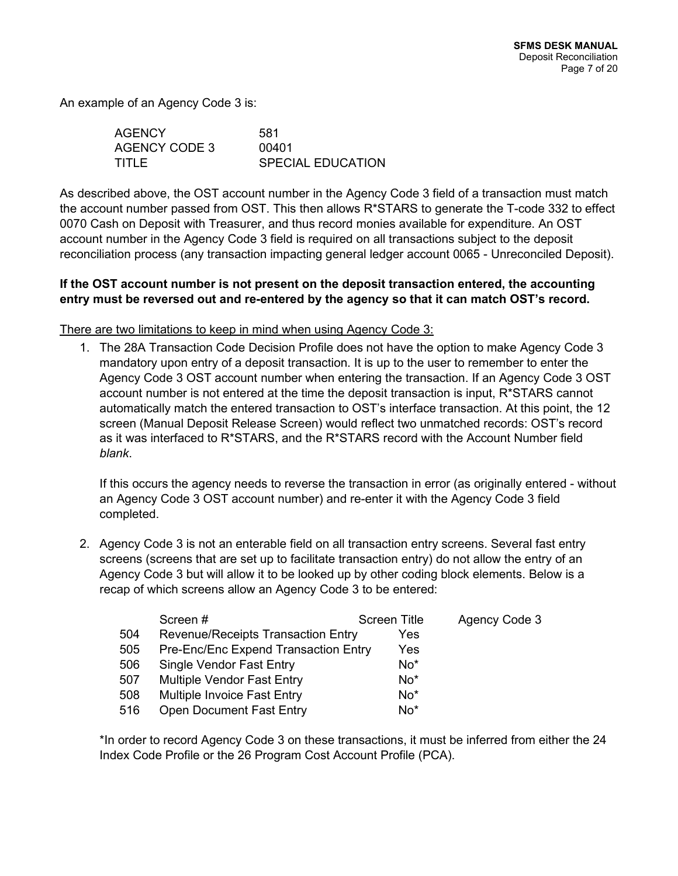An example of an Agency Code 3 is:

| <b>AGENCY</b> | 581                      |
|---------------|--------------------------|
| AGENCY CODE 3 | 00401                    |
| TITI E        | <b>SPECIAL EDUCATION</b> |

As described above, the OST account number in the Agency Code 3 field of a transaction must match the account number passed from OST. This then allows R\*STARS to generate the T-code 332 to effect 0070 Cash on Deposit with Treasurer, and thus record monies available for expenditure. An OST account number in the Agency Code 3 field is required on all transactions subject to the deposit reconciliation process (any transaction impacting general ledger account 0065 - Unreconciled Deposit).

#### **If the OST account number is not present on the deposit transaction entered, the accounting entry must be reversed out and re-entered by the agency so that it can match OST's record.**

There are two limitations to keep in mind when using Agency Code 3:

1. The 28A Transaction Code Decision Profile does not have the option to make Agency Code 3 mandatory upon entry of a deposit transaction. It is up to the user to remember to enter the Agency Code 3 OST account number when entering the transaction. If an Agency Code 3 OST account number is not entered at the time the deposit transaction is input, R\*STARS cannot automatically match the entered transaction to OST's interface transaction. At this point, the 12 screen (Manual Deposit Release Screen) would reflect two unmatched records: OST's record as it was interfaced to R\*STARS, and the R\*STARS record with the Account Number field *blank*.

If this occurs the agency needs to reverse the transaction in error (as originally entered - without an Agency Code 3 OST account number) and re-enter it with the Agency Code 3 field completed.

2. Agency Code 3 is not an enterable field on all transaction entry screens. Several fast entry screens (screens that are set up to facilitate transaction entry) do not allow the entry of an Agency Code 3 but will allow it to be looked up by other coding block elements. Below is a recap of which screens allow an Agency Code 3 to be entered:

|     | Screen#                              | <b>Screen Title</b> | Agency Code 3 |
|-----|--------------------------------------|---------------------|---------------|
| 504 | Revenue/Receipts Transaction Entry   | Yes                 |               |
| 505 | Pre-Enc/Enc Expend Transaction Entry | Yes                 |               |
| 506 | Single Vendor Fast Entry             | No*                 |               |
| 507 | <b>Multiple Vendor Fast Entry</b>    | $No*$               |               |
| 508 | <b>Multiple Invoice Fast Entry</b>   | $No*$               |               |
| 516 | <b>Open Document Fast Entry</b>      | $No*$               |               |

\*In order to record Agency Code 3 on these transactions, it must be inferred from either the 24 Index Code Profile or the 26 Program Cost Account Profile (PCA).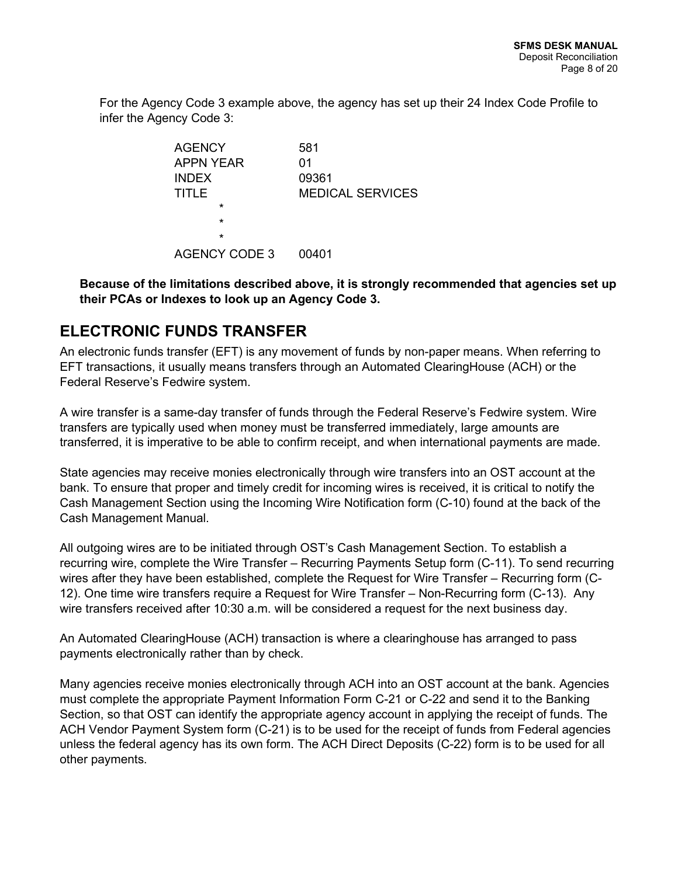For the Agency Code 3 example above, the agency has set up their 24 Index Code Profile to infer the Agency Code 3:

| <b>AGENCY</b>        | 581              |
|----------------------|------------------|
| <b>APPN YEAR</b>     | 01               |
| <b>INDEX</b>         | 09361            |
| TITLE                | MEDICAL SERVICES |
| $\star$              |                  |
| $\star$              |                  |
| $\star$              |                  |
| <b>AGENCY CODE 3</b> | 00401            |

**Because of the limitations described above, it is strongly recommended that agencies set up their PCAs or Indexes to look up an Agency Code 3.**

#### **ELECTRONIC FUNDS TRANSFER**

An electronic funds transfer (EFT) is any movement of funds by non-paper means. When referring to EFT transactions, it usually means transfers through an Automated ClearingHouse (ACH) or the Federal Reserve's Fedwire system.

A wire transfer is a same-day transfer of funds through the Federal Reserve's Fedwire system. Wire transfers are typically used when money must be transferred immediately, large amounts are transferred, it is imperative to be able to confirm receipt, and when international payments are made.

State agencies may receive monies electronically through wire transfers into an OST account at the bank. To ensure that proper and timely credit for incoming wires is received, it is critical to notify the Cash Management Section using the Incoming Wire Notification form (C-10) found at the back of the Cash Management Manual.

All outgoing wires are to be initiated through OST's Cash Management Section. To establish a recurring wire, complete the Wire Transfer – Recurring Payments Setup form (C-11). To send recurring wires after they have been established, complete the Request for Wire Transfer – Recurring form (C-12). One time wire transfers require a Request for Wire Transfer – Non-Recurring form (C-13). Any wire transfers received after 10:30 a.m. will be considered a request for the next business day.

An Automated ClearingHouse (ACH) transaction is where a clearinghouse has arranged to pass payments electronically rather than by check.

Many agencies receive monies electronically through ACH into an OST account at the bank. Agencies must complete the appropriate Payment Information Form C-21 or C-22 and send it to the Banking Section, so that OST can identify the appropriate agency account in applying the receipt of funds. The ACH Vendor Payment System form (C-21) is to be used for the receipt of funds from Federal agencies unless the federal agency has its own form. The ACH Direct Deposits (C-22) form is to be used for all other payments.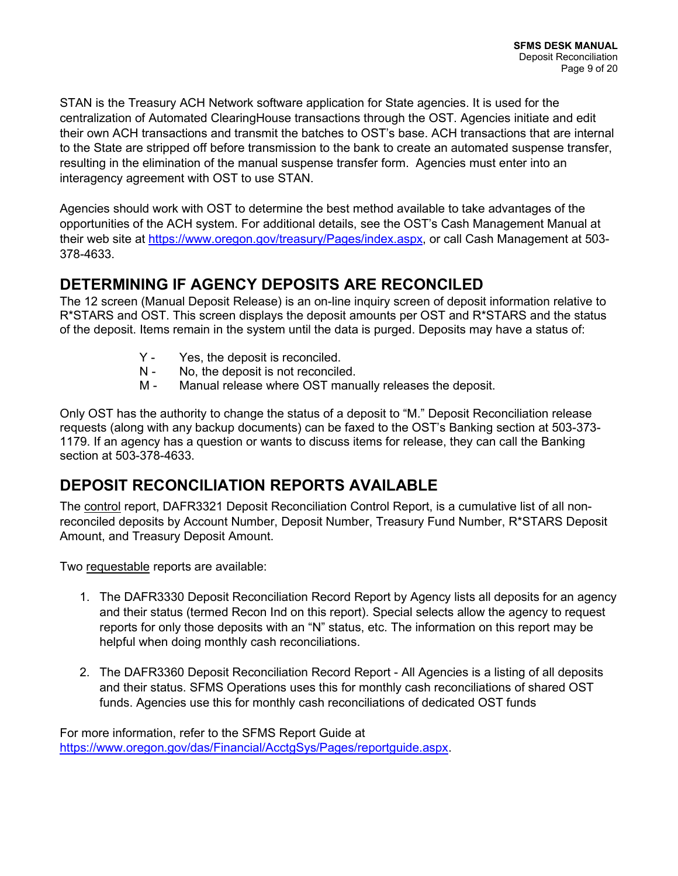STAN is the Treasury ACH Network software application for State agencies. It is used for the centralization of Automated ClearingHouse transactions through the OST. Agencies initiate and edit their own ACH transactions and transmit the batches to OST's base. ACH transactions that are internal to the State are stripped off before transmission to the bank to create an automated suspense transfer, resulting in the elimination of the manual suspense transfer form. Agencies must enter into an interagency agreement with OST to use STAN.

Agencies should work with OST to determine the best method available to take advantages of the opportunities of the ACH system. For additional details, see the OST's Cash Management Manual at their web site at [https://www.oregon.gov/treasury/Pages/index.aspx,](http://www.oregon.gov/treasury/Pages/index.aspx) or call Cash Management at 503- 378-4633.

### **DETERMINING IF AGENCY DEPOSITS ARE RECONCILED**

The 12 screen (Manual Deposit Release) is an on-line inquiry screen of deposit information relative to R\*STARS and OST. This screen displays the deposit amounts per OST and R\*STARS and the status of the deposit. Items remain in the system until the data is purged. Deposits may have a status of:

- Y Yes, the deposit is reconciled.
- N No, the deposit is not reconciled.
- M Manual release where OST manually releases the deposit.

Only OST has the authority to change the status of a deposit to "M." Deposit Reconciliation release requests (along with any backup documents) can be faxed to the OST's Banking section at 503-373- 1179. If an agency has a question or wants to discuss items for release, they can call the Banking section at 503-378-4633.

#### **DEPOSIT RECONCILIATION REPORTS AVAILABLE**

The control report, DAFR3321 Deposit Reconciliation Control Report, is a cumulative list of all nonreconciled deposits by Account Number, Deposit Number, Treasury Fund Number, R\*STARS Deposit Amount, and Treasury Deposit Amount.

Two requestable reports are available:

- 1. The DAFR3330 Deposit Reconciliation Record Report by Agency lists all deposits for an agency and their status (termed Recon Ind on this report). Special selects allow the agency to request reports for only those deposits with an "N" status, etc. The information on this report may be helpful when doing monthly cash reconciliations.
- 2. The DAFR3360 Deposit Reconciliation Record Report All Agencies is a listing of all deposits and their status. SFMS Operations uses this for monthly cash reconciliations of shared OST funds. Agencies use this for monthly cash reconciliations of dedicated OST funds

For more information, refer to the SFMS Report Guide at [https://www.oregon.gov/das/Financial/AcctgSys/Pages/reportguide.aspx.](https://www.oregon.gov/das/Financial/AcctgSys/Pages/reportguide.aspx)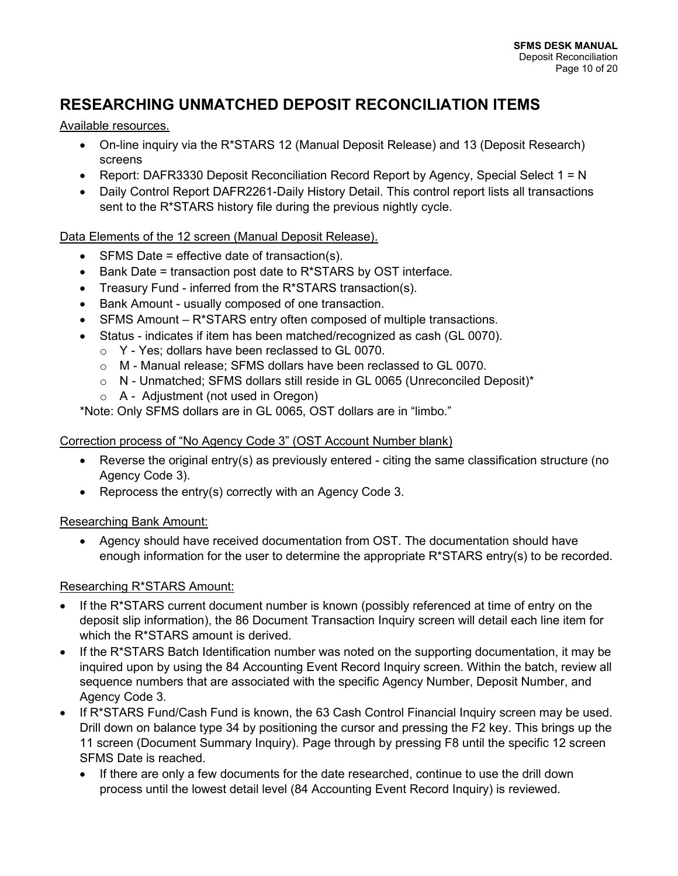### **RESEARCHING UNMATCHED DEPOSIT RECONCILIATION ITEMS**

#### Available resources.

- On-line inquiry via the R\*STARS 12 (Manual Deposit Release) and 13 (Deposit Research) screens
- Report: DAFR3330 Deposit Reconciliation Record Report by Agency, Special Select 1 = N
- Daily Control Report DAFR2261-Daily History Detail. This control report lists all transactions sent to the R\*STARS history file during the previous nightly cycle.

Data Elements of the 12 screen (Manual Deposit Release).

- SFMS Date = effective date of transaction(s).
- Bank Date = transaction post date to R\*STARS by OST interface.
- Treasury Fund inferred from the R\*STARS transaction(s).
- Bank Amount usually composed of one transaction.
- SFMS Amount  $-R^*STARS$  entry often composed of multiple transactions.
- Status indicates if item has been matched/recognized as cash (GL 0070).
	- o Y Yes; dollars have been reclassed to GL 0070.
	- o M Manual release; SFMS dollars have been reclassed to GL 0070.
	- $\circ$  N Unmatched; SFMS dollars still reside in GL 0065 (Unreconciled Deposit)\*
	- $\circ$  A Adjustment (not used in Oregon)

\*Note: Only SFMS dollars are in GL 0065, OST dollars are in "limbo."

#### Correction process of "No Agency Code 3" (OST Account Number blank)

- Reverse the original entry(s) as previously entered citing the same classification structure (no Agency Code 3).
- Reprocess the entry(s) correctly with an Agency Code 3.

#### Researching Bank Amount:

• Agency should have received documentation from OST. The documentation should have enough information for the user to determine the appropriate  $R^*STARS$  entry(s) to be recorded.

#### Researching R\*STARS Amount:

- If the R<sup>\*</sup>STARS current document number is known (possibly referenced at time of entry on the deposit slip information), the 86 Document Transaction Inquiry screen will detail each line item for which the R\*STARS amount is derived.
- If the R\*STARS Batch Identification number was noted on the supporting documentation, it may be inquired upon by using the 84 Accounting Event Record Inquiry screen. Within the batch, review all sequence numbers that are associated with the specific Agency Number, Deposit Number, and Agency Code 3.
- If R\*STARS Fund/Cash Fund is known, the 63 Cash Control Financial Inquiry screen may be used. Drill down on balance type 34 by positioning the cursor and pressing the F2 key. This brings up the 11 screen (Document Summary Inquiry). Page through by pressing F8 until the specific 12 screen SFMS Date is reached.
	- If there are only a few documents for the date researched, continue to use the drill down process until the lowest detail level (84 Accounting Event Record Inquiry) is reviewed.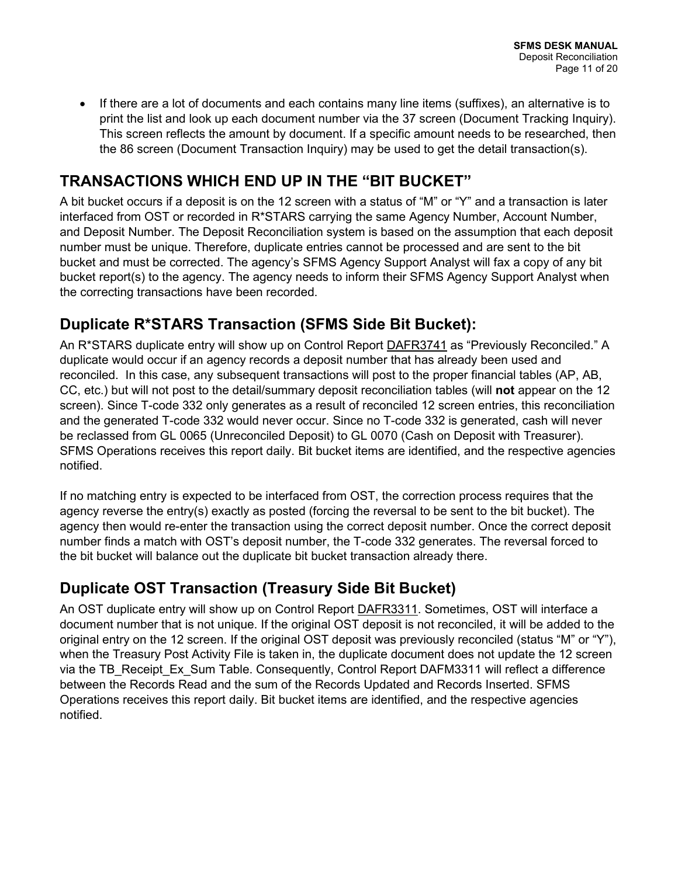• If there are a lot of documents and each contains many line items (suffixes), an alternative is to print the list and look up each document number via the 37 screen (Document Tracking Inquiry). This screen reflects the amount by document. If a specific amount needs to be researched, then the 86 screen (Document Transaction Inquiry) may be used to get the detail transaction(s).

### **TRANSACTIONS WHICH END UP IN THE "BIT BUCKET"**

A bit bucket occurs if a deposit is on the 12 screen with a status of "M" or "Y" and a transaction is later interfaced from OST or recorded in R\*STARS carrying the same Agency Number, Account Number, and Deposit Number. The Deposit Reconciliation system is based on the assumption that each deposit number must be unique. Therefore, duplicate entries cannot be processed and are sent to the bit bucket and must be corrected. The agency's SFMS Agency Support Analyst will fax a copy of any bit bucket report(s) to the agency. The agency needs to inform their SFMS Agency Support Analyst when the correcting transactions have been recorded.

### **Duplicate R\*STARS Transaction (SFMS Side Bit Bucket):**

An R\*STARS duplicate entry will show up on Control Report DAFR3741 as "Previously Reconciled." A duplicate would occur if an agency records a deposit number that has already been used and reconciled. In this case, any subsequent transactions will post to the proper financial tables (AP, AB, CC, etc.) but will not post to the detail/summary deposit reconciliation tables (will **not** appear on the 12 screen). Since T-code 332 only generates as a result of reconciled 12 screen entries, this reconciliation and the generated T-code 332 would never occur. Since no T-code 332 is generated, cash will never be reclassed from GL 0065 (Unreconciled Deposit) to GL 0070 (Cash on Deposit with Treasurer). SFMS Operations receives this report daily. Bit bucket items are identified, and the respective agencies notified.

If no matching entry is expected to be interfaced from OST, the correction process requires that the agency reverse the entry(s) exactly as posted (forcing the reversal to be sent to the bit bucket). The agency then would re-enter the transaction using the correct deposit number. Once the correct deposit number finds a match with OST's deposit number, the T-code 332 generates. The reversal forced to the bit bucket will balance out the duplicate bit bucket transaction already there.

### **Duplicate OST Transaction (Treasury Side Bit Bucket)**

An OST duplicate entry will show up on Control Report DAFR3311. Sometimes, OST will interface a document number that is not unique. If the original OST deposit is not reconciled, it will be added to the original entry on the 12 screen. If the original OST deposit was previously reconciled (status "M" or "Y"), when the Treasury Post Activity File is taken in, the duplicate document does not update the 12 screen via the TB\_Receipt\_Ex\_Sum Table. Consequently, Control Report DAFM3311 will reflect a difference between the Records Read and the sum of the Records Updated and Records Inserted. SFMS Operations receives this report daily. Bit bucket items are identified, and the respective agencies notified.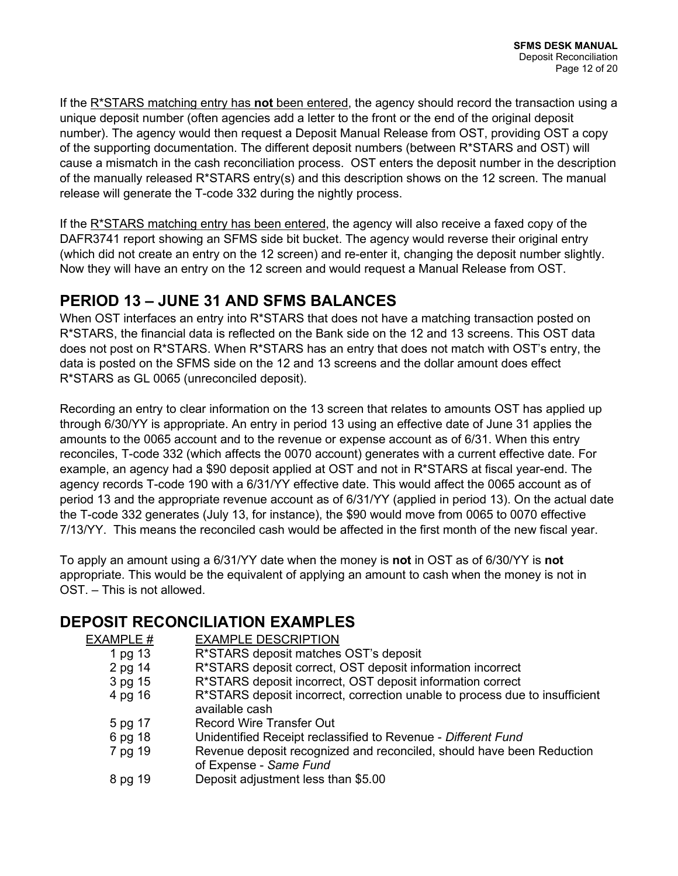If the R\*STARS matching entry has **not** been entered, the agency should record the transaction using a unique deposit number (often agencies add a letter to the front or the end of the original deposit number). The agency would then request a Deposit Manual Release from OST, providing OST a copy of the supporting documentation. The different deposit numbers (between R\*STARS and OST) will cause a mismatch in the cash reconciliation process. OST enters the deposit number in the description of the manually released  $R^*STARS$  entry(s) and this description shows on the 12 screen. The manual release will generate the T-code 332 during the nightly process.

If the R\*STARS matching entry has been entered, the agency will also receive a faxed copy of the DAFR3741 report showing an SFMS side bit bucket. The agency would reverse their original entry (which did not create an entry on the 12 screen) and re-enter it, changing the deposit number slightly. Now they will have an entry on the 12 screen and would request a Manual Release from OST.

### **PERIOD 13 – JUNE 31 AND SFMS BALANCES**

When OST interfaces an entry into R<sup>\*</sup>STARS that does not have a matching transaction posted on R\*STARS, the financial data is reflected on the Bank side on the 12 and 13 screens. This OST data does not post on R\*STARS. When R\*STARS has an entry that does not match with OST's entry, the data is posted on the SFMS side on the 12 and 13 screens and the dollar amount does effect R\*STARS as GL 0065 (unreconciled deposit).

Recording an entry to clear information on the 13 screen that relates to amounts OST has applied up through 6/30/YY is appropriate. An entry in period 13 using an effective date of June 31 applies the amounts to the 0065 account and to the revenue or expense account as of 6/31. When this entry reconciles, T-code 332 (which affects the 0070 account) generates with a current effective date. For example, an agency had a \$90 deposit applied at OST and not in R\*STARS at fiscal year-end. The agency records T-code 190 with a 6/31/YY effective date. This would affect the 0065 account as of period 13 and the appropriate revenue account as of 6/31/YY (applied in period 13). On the actual date the T-code 332 generates (July 13, for instance), the \$90 would move from 0065 to 0070 effective 7/13/YY. This means the reconciled cash would be affected in the first month of the new fiscal year.

To apply an amount using a 6/31/YY date when the money is **not** in OST as of 6/30/YY is **not** appropriate. This would be the equivalent of applying an amount to cash when the money is not in OST. – This is not allowed.

#### **DEPOSIT RECONCILIATION EXAMPLES**

| EXAMPLE # | <b>EXAMPLE DESCRIPTION</b>                                                                      |
|-----------|-------------------------------------------------------------------------------------------------|
| 1 pg 13   | R*STARS deposit matches OST's deposit                                                           |
| 2 pg 14   | R*STARS deposit correct, OST deposit information incorrect                                      |
| 3 pg 15   | R*STARS deposit incorrect, OST deposit information correct                                      |
| 4 pg 16   | R*STARS deposit incorrect, correction unable to process due to insufficient<br>available cash   |
| 5 pg 17   | <b>Record Wire Transfer Out</b>                                                                 |
| 6 pg 18   | Unidentified Receipt reclassified to Revenue - Different Fund                                   |
| 7 pg 19   | Revenue deposit recognized and reconciled, should have been Reduction<br>of Expense - Same Fund |
| 8 pg 19   | Deposit adjustment less than \$5.00                                                             |
|           |                                                                                                 |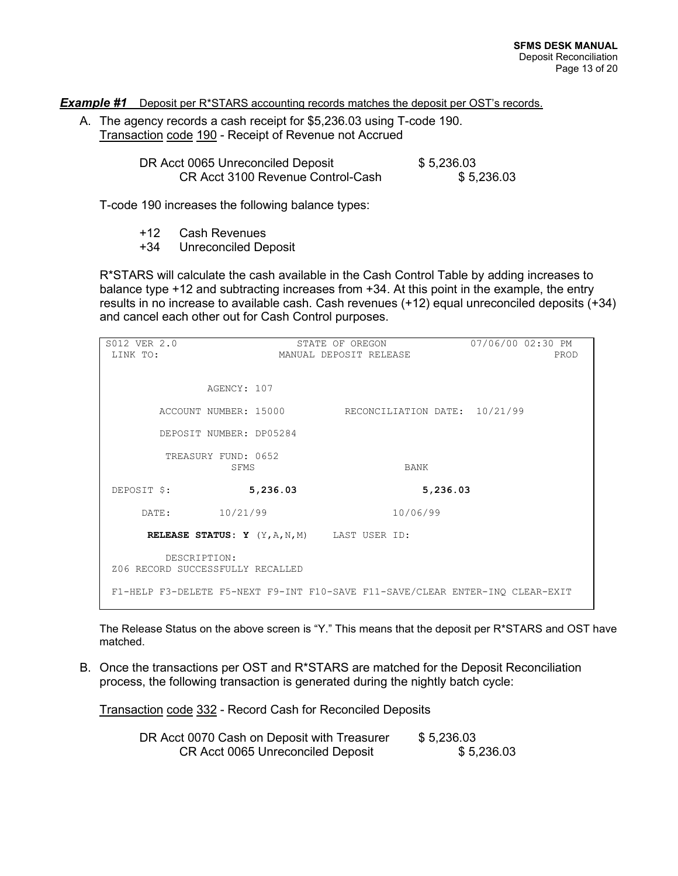**Example #1** Deposit per R\*STARS accounting records matches the deposit per OST's records.

A. The agency records a cash receipt for \$5,236.03 using T-code 190. Transaction code 190 - Receipt of Revenue not Accrued

> DR Acct 0065 Unreconciled Deposit  $$5,236.03$ <br>CR Acct 3100 Revenue Control-Cash \$5,236.03 CR Acct 3100 Revenue Control-Cash

T-code 190 increases the following balance types:

+12 Cash Revenues

+34 Unreconciled Deposit

R\*STARS will calculate the cash available in the Cash Control Table by adding increases to balance type +12 and subtracting increases from +34. At this point in the example, the entry results in no increase to available cash. Cash revenues (+12) equal unreconciled deposits (+34) and cancel each other out for Cash Control purposes.

| S012 VER 2.0                                                                  |          | STATE OF OREGON               |          | 07/06/00 02:30 PM |
|-------------------------------------------------------------------------------|----------|-------------------------------|----------|-------------------|
| LINK TO:                                                                      |          | MANUAL DEPOSIT RELEASE        |          | PROD              |
| AGENCY: 107                                                                   |          |                               |          |                   |
|                                                                               |          |                               |          |                   |
| ACCOUNT NUMBER: 15000                                                         |          | RECONCILIATION DATE: 10/21/99 |          |                   |
| DEPOSIT NUMBER: DP05284                                                       |          |                               |          |                   |
| TREASURY FUND: 0652<br>SFMS                                                   |          | BANK                          |          |                   |
| DEPOSIT \$:                                                                   | 5,236.03 |                               | 5,236.03 |                   |
| 10/21/99<br>DATE:                                                             |          | 10/06/99                      |          |                   |
| <b>RELEASE STATUS: Y</b> (Y, A, N, M) LAST USER ID:                           |          |                               |          |                   |
| DESCRIPTION:<br>Z06 RECORD SUCCESSFULLY RECALLED                              |          |                               |          |                   |
| F1-HELP F3-DELETE F5-NEXT F9-INT F10-SAVE F11-SAVE/CLEAR ENTER-INO CLEAR-EXIT |          |                               |          |                   |

The Release Status on the above screen is "Y." This means that the deposit per R\*STARS and OST have matched.

B. Once the transactions per OST and R\*STARS are matched for the Deposit Reconciliation process, the following transaction is generated during the nightly batch cycle:

**Transaction code 332 - Record Cash for Reconciled Deposits** 

| DR Acct 0070 Cash on Deposit with Treasurer | \$5,236.03 |
|---------------------------------------------|------------|
| CR Acct 0065 Unreconciled Deposit           | \$5,236.03 |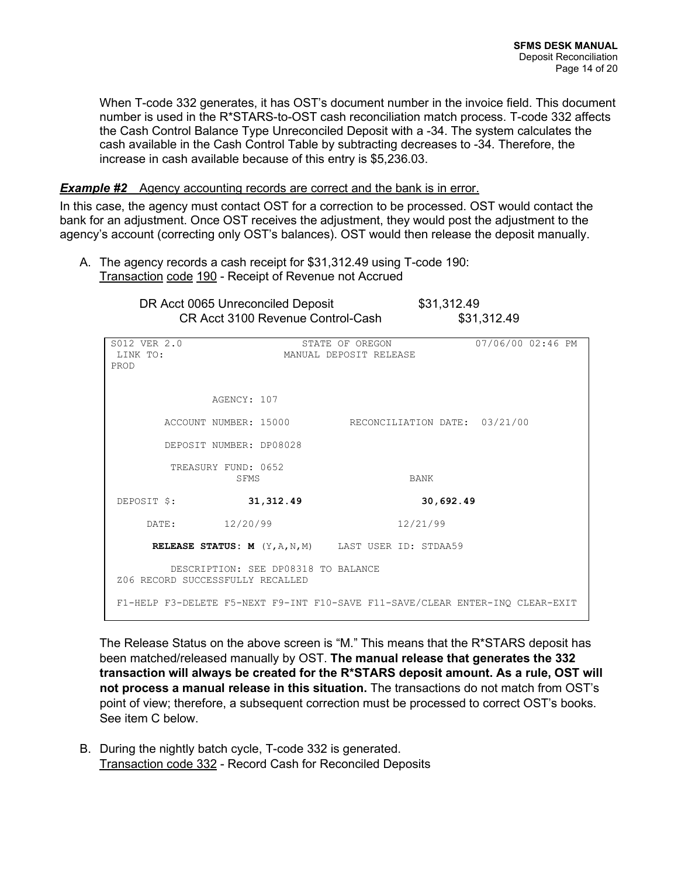When T-code 332 generates, it has OST's document number in the invoice field. This document number is used in the R\*STARS-to-OST cash reconciliation match process. T-code 332 affects the Cash Control Balance Type Unreconciled Deposit with a -34. The system calculates the cash available in the Cash Control Table by subtracting decreases to -34. Therefore, the increase in cash available because of this entry is \$5,236.03.

#### **Example #2** Agency accounting records are correct and the bank is in error.

In this case, the agency must contact OST for a correction to be processed. OST would contact the bank for an adjustment. Once OST receives the adjustment, they would post the adjustment to the agency's account (correcting only OST's balances). OST would then release the deposit manually.

A. The agency records a cash receipt for \$31,312.49 using T-code 190: Transaction code 190 - Receipt of Revenue not Accrued

| DR Acct 0065 Unreconciled Deposit | \$31,312.49 |
|-----------------------------------|-------------|
| CR Acct 3100 Revenue Control-Cash | \$31,312.49 |

| S012 VER 2.0                                                                  |                                     | STATE OF OREGON        |           | 07/06/00 02:46 PM |  |
|-------------------------------------------------------------------------------|-------------------------------------|------------------------|-----------|-------------------|--|
| LINK TO:<br>PROD                                                              |                                     | MANUAL DEPOSIT RELEASE |           |                   |  |
|                                                                               |                                     |                        |           |                   |  |
|                                                                               |                                     |                        |           |                   |  |
| AGENCY: 107                                                                   |                                     |                        |           |                   |  |
| ACCOUNT NUMBER: 15000 RECONCILIATION DATE: 03/21/00                           |                                     |                        |           |                   |  |
|                                                                               |                                     |                        |           |                   |  |
| DEPOSIT NUMBER: DP08028                                                       |                                     |                        |           |                   |  |
| TREASURY FUND: 0652                                                           |                                     |                        |           |                   |  |
| SFMS                                                                          |                                     |                        | BANK      |                   |  |
| DEPOSIT \$:                                                                   | 31, 312.49                          |                        | 30,692.49 |                   |  |
| 12/20/99<br>DATE:                                                             |                                     |                        | 12/21/99  |                   |  |
| RELEASE STATUS: M (Y, A, N, M) LAST USER ID: STDAA59                          |                                     |                        |           |                   |  |
|                                                                               | DESCRIPTION: SEE DP08318 TO BALANCE |                        |           |                   |  |
| Z06 RECORD SUCCESSFULLY RECALLED                                              |                                     |                        |           |                   |  |
| F1-HELP F3-DELETE F5-NEXT F9-INT F10-SAVE F11-SAVE/CLEAR ENTER-INO CLEAR-EXIT |                                     |                        |           |                   |  |

The Release Status on the above screen is "M." This means that the R\*STARS deposit has been matched/released manually by OST. **The manual release that generates the 332 transaction will always be created for the R\*STARS deposit amount. As a rule, OST will not process a manual release in this situation.** The transactions do not match from OST's point of view; therefore, a subsequent correction must be processed to correct OST's books. See item C below.

B. During the nightly batch cycle, T-code 332 is generated. Transaction code 332 - Record Cash for Reconciled Deposits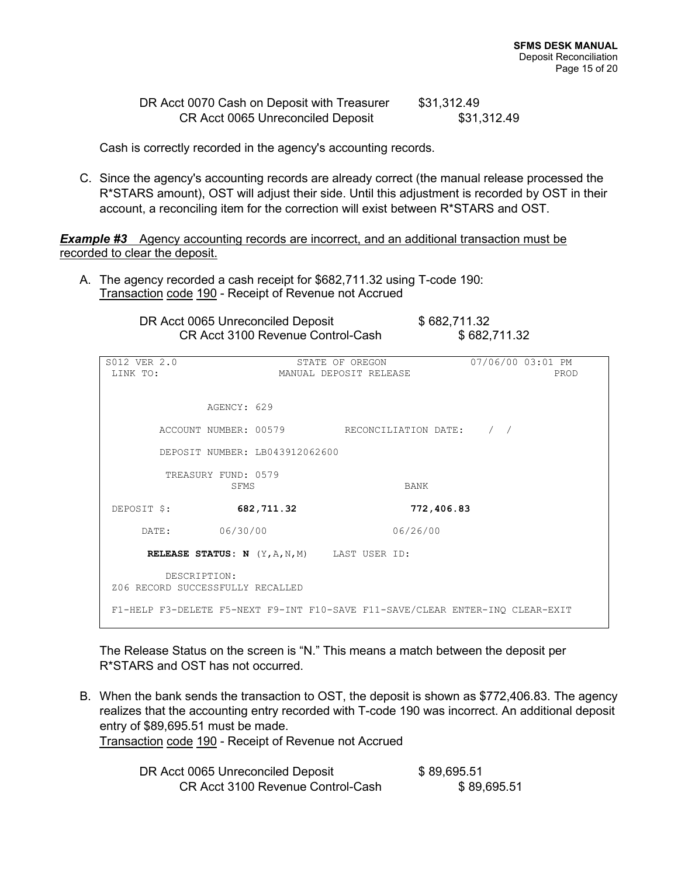DR Acct 0070 Cash on Deposit with Treasurer \$31,312.49 CR Acct 0065 Unreconciled Deposit \$31,312.49

Cash is correctly recorded in the agency's accounting records.

C. Since the agency's accounting records are already correct (the manual release processed the R\*STARS amount), OST will adjust their side. Until this adjustment is recorded by OST in their account, a reconciling item for the correction will exist between R\*STARS and OST.

**Example #3** Agency accounting records are incorrect, and an additional transaction must be recorded to clear the deposit.

A. The agency recorded a cash receipt for \$682,711.32 using T-code 190: Transaction code 190 - Receipt of Revenue not Accrued

> DR Acct 0065 Unreconciled Deposit \$ 682,711.32 CR Acct 3100 Revenue Control-Cash \$ 682,711.32

| S012 VER 2.0                                                                  | STATE OF OREGON        |                      |                  | 07/06/00 03:01 PM |
|-------------------------------------------------------------------------------|------------------------|----------------------|------------------|-------------------|
| LINK TO:                                                                      | MANUAL DEPOSIT RELEASE |                      |                  | PROD              |
|                                                                               |                        |                      |                  |                   |
|                                                                               |                        |                      |                  |                   |
|                                                                               |                        |                      |                  |                   |
| AGENCY: 629                                                                   |                        |                      |                  |                   |
|                                                                               |                        |                      |                  |                   |
| ACCOUNT NUMBER: 00579                                                         |                        | RECONCILIATION DATE: | $\left  \right $ |                   |
|                                                                               |                        |                      |                  |                   |
|                                                                               |                        |                      |                  |                   |
| DEPOSIT NUMBER: LB043912062600                                                |                        |                      |                  |                   |
|                                                                               |                        |                      |                  |                   |
| TREASURY FUND: 0579                                                           |                        |                      |                  |                   |
| <b>SFMS</b>                                                                   |                        | BANK                 |                  |                   |
|                                                                               |                        |                      |                  |                   |
|                                                                               |                        |                      |                  |                   |
|                                                                               |                        |                      |                  |                   |
| DEPOSIT \$:                                                                   | 682,711.32             | 772,406.83           |                  |                   |
|                                                                               |                        |                      |                  |                   |
| 06/30/00<br>DATE:                                                             |                        | 06/26/00             |                  |                   |
|                                                                               |                        |                      |                  |                   |
|                                                                               |                        |                      |                  |                   |
| RELEASE STATUS: N (Y, A, N, M) LAST USER ID:                                  |                        |                      |                  |                   |
|                                                                               |                        |                      |                  |                   |
| DESCRIPTION:                                                                  |                        |                      |                  |                   |
| Z06 RECORD SUCCESSFULLY RECALLED                                              |                        |                      |                  |                   |
|                                                                               |                        |                      |                  |                   |
| F1-HELP F3-DELETE F5-NEXT F9-INT F10-SAVE F11-SAVE/CLEAR ENTER-INQ CLEAR-EXIT |                        |                      |                  |                   |

The Release Status on the screen is "N." This means a match between the deposit per R\*STARS and OST has not occurred.

B. When the bank sends the transaction to OST, the deposit is shown as \$772,406.83. The agency realizes that the accounting entry recorded with T-code 190 was incorrect. An additional deposit entry of \$89,695.51 must be made. Transaction code 190 - Receipt of Revenue not Accrued

| DR Acct 0065 Unreconciled Deposit | \$89,695.51 |
|-----------------------------------|-------------|
| CR Acct 3100 Revenue Control-Cash | \$89,695.51 |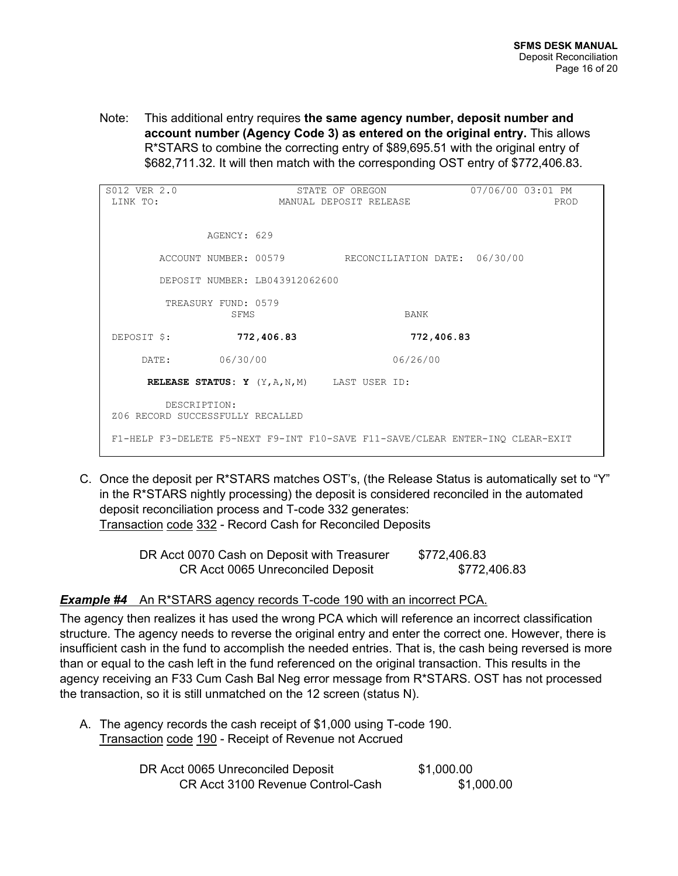Note: This additional entry requires **the same agency number, deposit number and account number (Agency Code 3) as entered on the original entry.** This allows R\*STARS to combine the correcting entry of \$89,695.51 with the original entry of \$682,711.32. It will then match with the corresponding OST entry of \$772,406.83.

| S012 VER 2.0                                                                  | STATE OF OREGON        |                                                     | 07/06/00 03:01 PM |
|-------------------------------------------------------------------------------|------------------------|-----------------------------------------------------|-------------------|
| LINK TO:                                                                      | MANUAL DEPOSIT RELEASE |                                                     | PROD              |
|                                                                               |                        |                                                     |                   |
|                                                                               |                        |                                                     |                   |
| AGENCY: 629                                                                   |                        |                                                     |                   |
|                                                                               |                        |                                                     |                   |
|                                                                               |                        | ACCOUNT NUMBER: 00579 RECONCILIATION DATE: 06/30/00 |                   |
|                                                                               |                        |                                                     |                   |
| DEPOSIT NUMBER: LB043912062600                                                |                        |                                                     |                   |
|                                                                               |                        |                                                     |                   |
| TREASURY FUND: 0579                                                           |                        |                                                     |                   |
| SFMS                                                                          |                        | <b>BANK</b>                                         |                   |
|                                                                               |                        |                                                     |                   |
| DEPOSIT \$:                                                                   | 772,406.83             | 772,406.83                                          |                   |
|                                                                               |                        |                                                     |                   |
| 06/30/00<br>DATE:                                                             |                        | 06/26/00                                            |                   |
|                                                                               |                        |                                                     |                   |
| RELEASE STATUS: Y (Y, A, N, M) LAST USER ID:                                  |                        |                                                     |                   |
|                                                                               |                        |                                                     |                   |
| DESCRIPTION:                                                                  |                        |                                                     |                   |
| Z06 RECORD SUCCESSFULLY RECALLED                                              |                        |                                                     |                   |
|                                                                               |                        |                                                     |                   |
| F1-HELP F3-DELETE F5-NEXT F9-INT F10-SAVE F11-SAVE/CLEAR ENTER-INO CLEAR-EXIT |                        |                                                     |                   |
|                                                                               |                        |                                                     |                   |

C. Once the deposit per R\*STARS matches OST's, (the Release Status is automatically set to "Y" in the R\*STARS nightly processing) the deposit is considered reconciled in the automated deposit reconciliation process and T-code 332 generates: Transaction code 332 - Record Cash for Reconciled Deposits

> DR Acct 0070 Cash on Deposit with Treasurer \$772,406.83 CR Acct 0065 Unreconciled Deposit \$772,406.83

#### *Example #4* An R\*STARS agency records T-code 190 with an incorrect PCA.

The agency then realizes it has used the wrong PCA which will reference an incorrect classification structure. The agency needs to reverse the original entry and enter the correct one. However, there is insufficient cash in the fund to accomplish the needed entries. That is, the cash being reversed is more than or equal to the cash left in the fund referenced on the original transaction. This results in the agency receiving an F33 Cum Cash Bal Neg error message from R\*STARS. OST has not processed the transaction, so it is still unmatched on the 12 screen (status N).

A. The agency records the cash receipt of \$1,000 using T-code 190. Transaction code 190 - Receipt of Revenue not Accrued

| DR Acct 0065 Unreconciled Deposit | \$1,000.00 |
|-----------------------------------|------------|
| CR Acct 3100 Revenue Control-Cash | \$1,000.00 |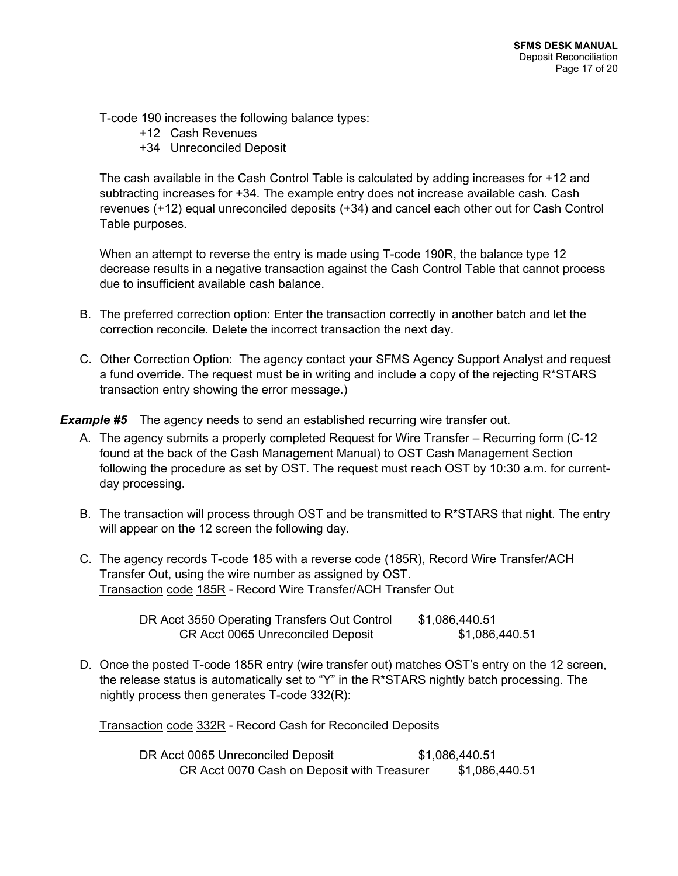T-code 190 increases the following balance types:

- +12 Cash Revenues
- +34 Unreconciled Deposit

The cash available in the Cash Control Table is calculated by adding increases for +12 and subtracting increases for +34. The example entry does not increase available cash. Cash revenues (+12) equal unreconciled deposits (+34) and cancel each other out for Cash Control Table purposes.

When an attempt to reverse the entry is made using T-code 190R, the balance type 12 decrease results in a negative transaction against the Cash Control Table that cannot process due to insufficient available cash balance.

- B. The preferred correction option: Enter the transaction correctly in another batch and let the correction reconcile. Delete the incorrect transaction the next day.
- C. Other Correction Option: The agency contact your SFMS Agency Support Analyst and request a fund override. The request must be in writing and include a copy of the rejecting  $R^*STARS$ transaction entry showing the error message.)

**Example #5** The agency needs to send an established recurring wire transfer out.

- A. The agency submits a properly completed Request for Wire Transfer Recurring form (C-12 found at the back of the Cash Management Manual) to OST Cash Management Section following the procedure as set by OST. The request must reach OST by 10:30 a.m. for currentday processing.
- B. The transaction will process through OST and be transmitted to R\*STARS that night. The entry will appear on the 12 screen the following day.
- C. The agency records T-code 185 with a reverse code (185R), Record Wire Transfer/ACH Transfer Out, using the wire number as assigned by OST. Transaction code 185R - Record Wire Transfer/ACH Transfer Out

| DR Acct 3550 Operating Transfers Out Control | \$1,086,440.51 |
|----------------------------------------------|----------------|
| CR Acct 0065 Unreconciled Deposit            | \$1,086,440.51 |

D. Once the posted T-code 185R entry (wire transfer out) matches OST's entry on the 12 screen, the release status is automatically set to "Y" in the R\*STARS nightly batch processing. The nightly process then generates T-code 332(R):

Transaction code 332R - Record Cash for Reconciled Deposits

DR Acct 0065 Unreconciled Deposit \$1,086,440.51 CR Acct 0070 Cash on Deposit with Treasurer \$1,086,440.51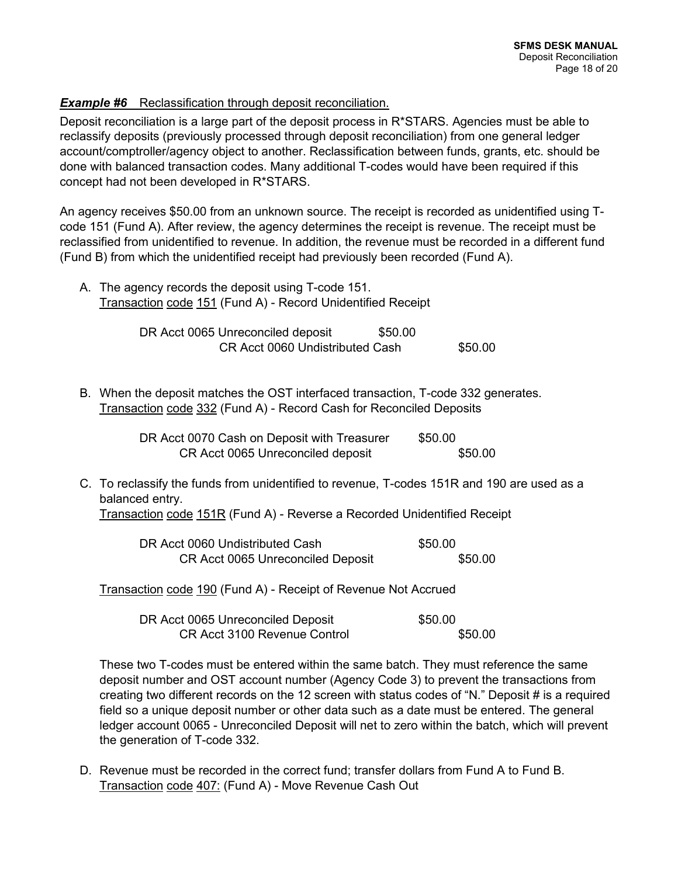#### **Example #6** Reclassification through deposit reconciliation.

Deposit reconciliation is a large part of the deposit process in R\*STARS. Agencies must be able to reclassify deposits (previously processed through deposit reconciliation) from one general ledger account/comptroller/agency object to another. Reclassification between funds, grants, etc. should be done with balanced transaction codes. Many additional T-codes would have been required if this concept had not been developed in R\*STARS.

An agency receives \$50.00 from an unknown source. The receipt is recorded as unidentified using Tcode 151 (Fund A). After review, the agency determines the receipt is revenue. The receipt must be reclassified from unidentified to revenue. In addition, the revenue must be recorded in a different fund (Fund B) from which the unidentified receipt had previously been recorded (Fund A).

| A. The agency records the deposit using T-code 151.<br><b>Transaction code 151 (Fund A) - Record Unidentified Receipt</b>                                                                  |                    |
|--------------------------------------------------------------------------------------------------------------------------------------------------------------------------------------------|--------------------|
| DR Acct 0065 Unreconciled deposit<br>\$50.00<br>CR Acct 0060 Undistributed Cash                                                                                                            | \$50.00            |
| B. When the deposit matches the OST interfaced transaction, T-code 332 generates.<br>Transaction code 332 (Fund A) - Record Cash for Reconciled Deposits                                   |                    |
| DR Acct 0070 Cash on Deposit with Treasurer<br>CR Acct 0065 Unreconciled deposit                                                                                                           | \$50.00<br>\$50.00 |
| C. To reclassify the funds from unidentified to revenue, T-codes 151R and 190 are used as a<br>balanced entry.<br>Transaction code 151R (Fund A) - Reverse a Recorded Unidentified Receipt |                    |
| DR Acct 0060 Undistributed Cash<br>CR Acct 0065 Unreconciled Deposit                                                                                                                       | \$50.00<br>\$50.00 |
| Transaction code 190 (Fund A) - Receipt of Revenue Not Accrued                                                                                                                             |                    |

| DR Acct 0065 Unreconciled Deposit | \$50.00 |
|-----------------------------------|---------|
| CR Acct 3100 Revenue Control      | \$50.00 |

These two T-codes must be entered within the same batch. They must reference the same deposit number and OST account number (Agency Code 3) to prevent the transactions from creating two different records on the 12 screen with status codes of "N." Deposit # is a required field so a unique deposit number or other data such as a date must be entered. The general ledger account 0065 - Unreconciled Deposit will net to zero within the batch, which will prevent the generation of T-code 332.

D. Revenue must be recorded in the correct fund; transfer dollars from Fund A to Fund B. Transaction code 407: (Fund A) - Move Revenue Cash Out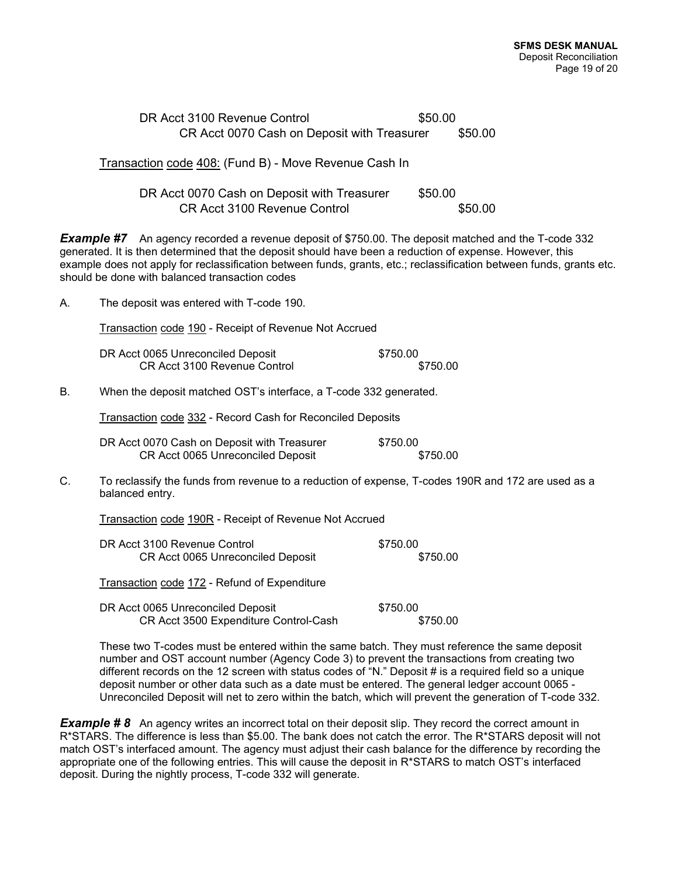|    | DR Acct 3100 Revenue Control                                                                                                                                                                                                                                                                                                                                                                     | \$50.00              |         |
|----|--------------------------------------------------------------------------------------------------------------------------------------------------------------------------------------------------------------------------------------------------------------------------------------------------------------------------------------------------------------------------------------------------|----------------------|---------|
|    | CR Acct 0070 Cash on Deposit with Treasurer                                                                                                                                                                                                                                                                                                                                                      |                      | \$50.00 |
|    | Transaction code 408: (Fund B) - Move Revenue Cash In                                                                                                                                                                                                                                                                                                                                            |                      |         |
|    | DR Acct 0070 Cash on Deposit with Treasurer<br>CR Acct 3100 Revenue Control                                                                                                                                                                                                                                                                                                                      | \$50.00              | \$50.00 |
|    | <b>Example #7</b> An agency recorded a revenue deposit of \$750.00. The deposit matched and the T-code 332<br>generated. It is then determined that the deposit should have been a reduction of expense. However, this<br>example does not apply for reclassification between funds, grants, etc.; reclassification between funds, grants etc.<br>should be done with balanced transaction codes |                      |         |
| А. | The deposit was entered with T-code 190.                                                                                                                                                                                                                                                                                                                                                         |                      |         |
|    | <b>Transaction code 190 - Receipt of Revenue Not Accrued</b>                                                                                                                                                                                                                                                                                                                                     |                      |         |
|    | DR Acct 0065 Unreconciled Deposit<br>CR Acct 3100 Revenue Control                                                                                                                                                                                                                                                                                                                                | \$750.00<br>\$750.00 |         |
| В. | When the deposit matched OST's interface, a T-code 332 generated.                                                                                                                                                                                                                                                                                                                                |                      |         |
|    | Transaction code 332 - Record Cash for Reconciled Deposits                                                                                                                                                                                                                                                                                                                                       |                      |         |
|    | DR Acct 0070 Cash on Deposit with Treasurer<br>CR Acct 0065 Unreconciled Deposit                                                                                                                                                                                                                                                                                                                 | \$750.00<br>\$750.00 |         |
| C. | To reclassify the funds from revenue to a reduction of expense, T-codes 190R and 172 are used as a<br>balanced entry.                                                                                                                                                                                                                                                                            |                      |         |
|    | Transaction code 190R - Receipt of Revenue Not Accrued                                                                                                                                                                                                                                                                                                                                           |                      |         |
|    | DR Acct 3100 Revenue Control<br>CR Acct 0065 Unreconciled Deposit                                                                                                                                                                                                                                                                                                                                | \$750.00<br>\$750.00 |         |
|    | Transaction code 172 - Refund of Expenditure                                                                                                                                                                                                                                                                                                                                                     |                      |         |
|    | DR Acct 0065 Unreconciled Deposit<br>CR Acct 3500 Expenditure Control-Cash                                                                                                                                                                                                                                                                                                                       | \$750.00<br>\$750.00 |         |
|    | These two T-codes must be entered within the same batch. They must reference the same denosit                                                                                                                                                                                                                                                                                                    |                      |         |

These two T-codes must be entered within the same batch. They must reference the same deposit number and OST account number (Agency Code 3) to prevent the transactions from creating two different records on the 12 screen with status codes of "N." Deposit # is a required field so a unique deposit number or other data such as a date must be entered. The general ledger account 0065 - Unreconciled Deposit will net to zero within the batch, which will prevent the generation of T-code 332.

**Example #8** An agency writes an incorrect total on their deposit slip. They record the correct amount in R\*STARS. The difference is less than \$5.00. The bank does not catch the error. The R\*STARS deposit will not match OST's interfaced amount. The agency must adjust their cash balance for the difference by recording the appropriate one of the following entries. This will cause the deposit in R\*STARS to match OST's interfaced deposit. During the nightly process, T-code 332 will generate.